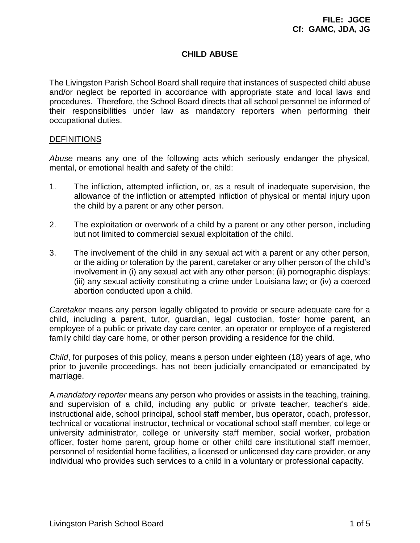# **CHILD ABUSE**

The Livingston Parish School Board shall require that instances of suspected child abuse and/or neglect be reported in accordance with appropriate state and local laws and procedures. Therefore, the School Board directs that all school personnel be informed of their responsibilities under law as mandatory reporters when performing their occupational duties.

### **DEFINITIONS**

*Abuse* means any one of the following acts which seriously endanger the physical, mental, or emotional health and safety of the child:

- 1. The infliction, attempted infliction, or, as a result of inadequate supervision, the allowance of the infliction or attempted infliction of physical or mental injury upon the child by a parent or any other person.
- 2. The exploitation or overwork of a child by a parent or any other person, including but not limited to commercial sexual exploitation of the child.
- 3. The involvement of the child in any sexual act with a parent or any other person, or the aiding or toleration by the parent, caretaker or any other person of the child's involvement in (i) any sexual act with any other person; (ii) pornographic displays; (iii) any sexual activity constituting a crime under Louisiana law; or (iv) a coerced abortion conducted upon a child.

*Caretaker* means any person legally obligated to provide or secure adequate care for a child, including a parent, tutor, guardian, legal custodian, foster home parent, an employee of a public or private day care center, an operator or employee of a registered family child day care home, or other person providing a residence for the child.

*Child*, for purposes of this policy, means a person under eighteen (18) years of age, who prior to juvenile proceedings, has not been judicially emancipated or emancipated by marriage.

A *mandatory reporter* means any person who provides or assists in the teaching, training, and supervision of a child, including any public or private teacher, teacher's aide, instructional aide, school principal, school staff member, bus operator, coach, professor, technical or vocational instructor, technical or vocational school staff member, college or university administrator, college or university staff member, social worker, probation officer, foster home parent, group home or other child care institutional staff member, personnel of residential home facilities, a licensed or unlicensed day care provider, or any individual who provides such services to a child in a voluntary or professional capacity.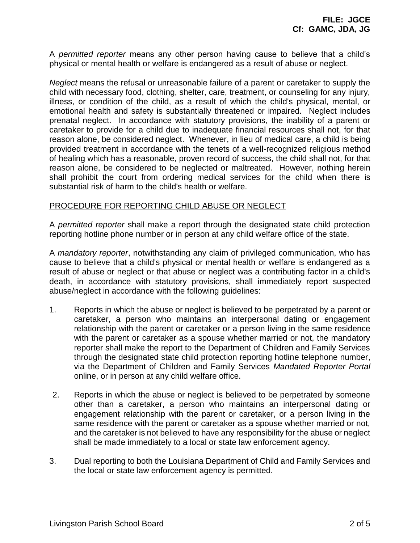A *permitted reporter* means any other person having cause to believe that a child's physical or mental health or welfare is endangered as a result of abuse or neglect.

*Neglect* means the refusal or unreasonable failure of a parent or caretaker to supply the child with necessary food, clothing, shelter, care, treatment, or counseling for any injury, illness, or condition of the child, as a result of which the child's physical, mental, or emotional health and safety is substantially threatened or impaired. Neglect includes prenatal neglect. In accordance with statutory provisions, the inability of a parent or caretaker to provide for a child due to inadequate financial resources shall not, for that reason alone, be considered neglect. Whenever, in lieu of medical care, a child is being provided treatment in accordance with the tenets of a well-recognized religious method of healing which has a reasonable, proven record of success, the child shall not, for that reason alone, be considered to be neglected or maltreated. However, nothing herein shall prohibit the court from ordering medical services for the child when there is substantial risk of harm to the child's health or welfare.

## PROCEDURE FOR REPORTING CHILD ABUSE OR NEGLECT

A *permitted reporter* shall make a report through the designated state child protection reporting hotline phone number or in person at any child welfare office of the state.

A *mandatory reporter*, notwithstanding any claim of privileged communication, who has cause to believe that a child's physical or mental health or welfare is endangered as a result of abuse or neglect or that abuse or neglect was a contributing factor in a child's death, in accordance with statutory provisions, shall immediately report suspected abuse/neglect in accordance with the following guidelines:

- 1. Reports in which the abuse or neglect is believed to be perpetrated by a parent or caretaker, a person who maintains an interpersonal dating or engagement relationship with the parent or caretaker or a person living in the same residence with the parent or caretaker as a spouse whether married or not, the mandatory reporter shall make the report to the Department of Children and Family Services through the designated state child protection reporting hotline telephone number, via the Department of Children and Family Services *Mandated Reporter Portal* online, or in person at any child welfare office.
- 2. Reports in which the abuse or neglect is believed to be perpetrated by someone other than a caretaker, a person who maintains an interpersonal dating or engagement relationship with the parent or caretaker, or a person living in the same residence with the parent or caretaker as a spouse whether married or not, and the caretaker is not believed to have any responsibility for the abuse or neglect shall be made immediately to a local or state law enforcement agency.
- 3. Dual reporting to both the Louisiana Department of Child and Family Services and the local or state law enforcement agency is permitted.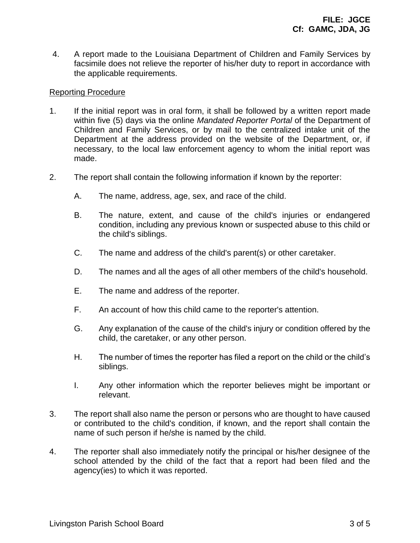4. A report made to the Louisiana Department of Children and Family Services by facsimile does not relieve the reporter of his/her duty to report in accordance with the applicable requirements.

### Reporting Procedure

- 1. If the initial report was in oral form, it shall be followed by a written report made within five (5) days via the online *Mandated Reporter Portal* of the Department of Children and Family Services, or by mail to the centralized intake unit of the Department at the address provided on the website of the Department, or, if necessary, to the local law enforcement agency to whom the initial report was made.
- 2. The report shall contain the following information if known by the reporter:
	- A. The name, address, age, sex, and race of the child.
	- B. The nature, extent, and cause of the child's injuries or endangered condition, including any previous known or suspected abuse to this child or the child's siblings.
	- C. The name and address of the child's parent(s) or other caretaker.
	- D. The names and all the ages of all other members of the child's household.
	- E. The name and address of the reporter.
	- F. An account of how this child came to the reporter's attention.
	- G. Any explanation of the cause of the child's injury or condition offered by the child, the caretaker, or any other person.
	- H. The number of times the reporter has filed a report on the child or the child's siblings.
	- I. Any other information which the reporter believes might be important or relevant.
- 3. The report shall also name the person or persons who are thought to have caused or contributed to the child's condition, if known, and the report shall contain the name of such person if he/she is named by the child.
- 4. The reporter shall also immediately notify the principal or his/her designee of the school attended by the child of the fact that a report had been filed and the agency(ies) to which it was reported.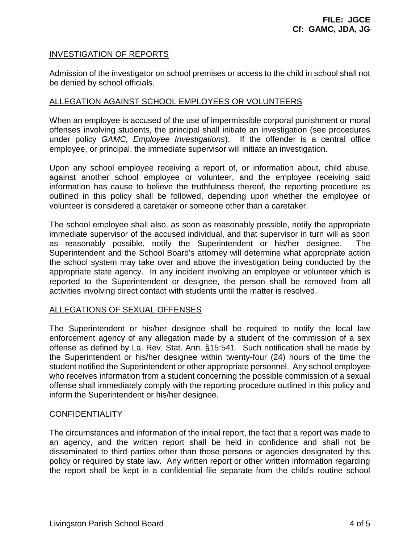### INVESTIGATION OF REPORTS

Admission of the investigator on school premises or access to the child in school shall not be denied by school officials.

### ALLEGATION AGAINST SCHOOL EMPLOYEES OR VOLUNTEERS

When an employee is accused of the use of impermissible corporal punishment or moral offenses involving students, the principal shall initiate an investigation (see procedures under policy *GAMC, Employee Investigations*). If the offender is a central office employee, or principal, the immediate supervisor will initiate an investigation.

Upon any school employee receiving a report of, or information about, child abuse, against another school employee or volunteer, and the employee receiving said information has cause to believe the truthfulness thereof, the reporting procedure as outlined in this policy shall be followed, depending upon whether the employee or volunteer is considered a caretaker or someone other than a caretaker.

The school employee shall also, as soon as reasonably possible, notify the appropriate immediate supervisor of the accused individual, and that supervisor in turn will as soon as reasonably possible, notify the Superintendent or his/her designee. The Superintendent and the School Board's attorney will determine what appropriate action the school system may take over and above the investigation being conducted by the appropriate state agency. In any incident involving an employee or volunteer which is reported to the Superintendent or designee, the person shall be removed from all activities involving direct contact with students until the matter is resolved.

## ALLEGATIONS OF SEXUAL OFFENSES

The Superintendent or his/her designee shall be required to notify the local law enforcement agency of any allegation made by a student of the commission of a sex offense as defined by La. Rev. Stat. Ann. §15:541. Such notification shall be made by the Superintendent or his/her designee within twenty-four (24) hours of the time the student notified the Superintendent or other appropriate personnel. Any school employee who receives information from a student concerning the possible commission of a sexual offense shall immediately comply with the reporting procedure outlined in this policy and inform the Superintendent or his/her designee.

### **CONFIDENTIALITY**

The circumstances and information of the initial report, the fact that a report was made to an agency, and the written report shall be held in confidence and shall not be disseminated to third parties other than those persons or agencies designated by this policy or required by state law. Any written report or other written information regarding the report shall be kept in a confidential file separate from the child's routine school